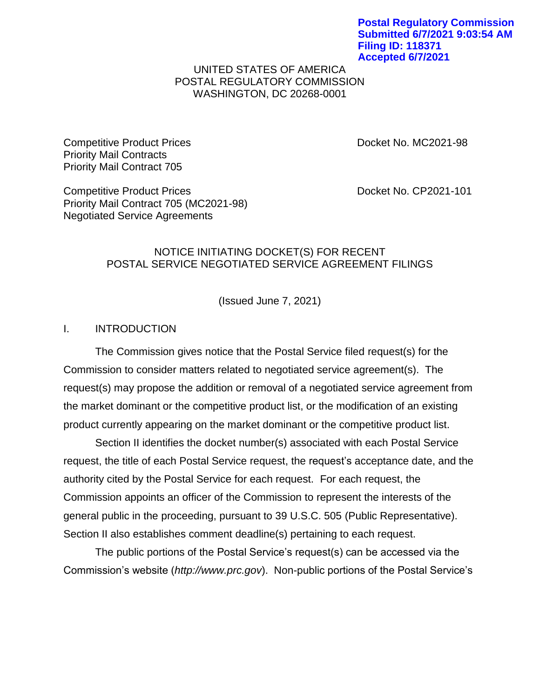## UNITED STATES OF AMERICA POSTAL REGULATORY COMMISSION WASHINGTON, DC 20268-0001

Competitive Product Prices Docket No. MC2021-98 Priority Mail Contracts Priority Mail Contract 705

Competitive Product Prices Docket No. CP2021-101 Priority Mail Contract 705 (MC2021-98) Negotiated Service Agreements

## NOTICE INITIATING DOCKET(S) FOR RECENT POSTAL SERVICE NEGOTIATED SERVICE AGREEMENT FILINGS

(Issued June 7, 2021)

## I. INTRODUCTION

The Commission gives notice that the Postal Service filed request(s) for the Commission to consider matters related to negotiated service agreement(s). The request(s) may propose the addition or removal of a negotiated service agreement from the market dominant or the competitive product list, or the modification of an existing product currently appearing on the market dominant or the competitive product list.

Section II identifies the docket number(s) associated with each Postal Service request, the title of each Postal Service request, the request's acceptance date, and the authority cited by the Postal Service for each request. For each request, the Commission appoints an officer of the Commission to represent the interests of the general public in the proceeding, pursuant to 39 U.S.C. 505 (Public Representative). Section II also establishes comment deadline(s) pertaining to each request.

The public portions of the Postal Service's request(s) can be accessed via the Commission's website (*http://www.prc.gov*). Non-public portions of the Postal Service's